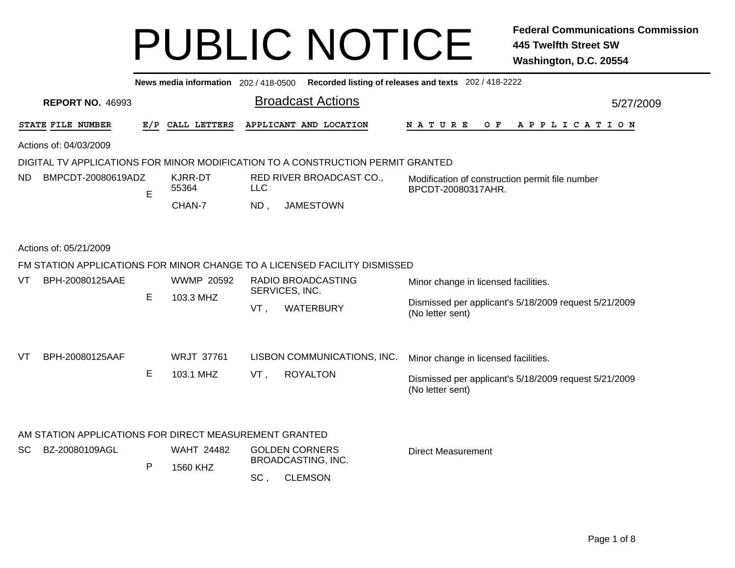|           | Recorded listing of releases and texts 202 / 418-2222<br>News media information 202 / 418-0500 |   |                                |                                        |                                                                                 |                                                                           |           |  |  |  |  |  |  |
|-----------|------------------------------------------------------------------------------------------------|---|--------------------------------|----------------------------------------|---------------------------------------------------------------------------------|---------------------------------------------------------------------------|-----------|--|--|--|--|--|--|
|           | <b>REPORT NO. 46993</b>                                                                        |   |                                |                                        | <b>Broadcast Actions</b>                                                        |                                                                           | 5/27/2009 |  |  |  |  |  |  |
|           | STATE FILE NUMBER                                                                              |   | E/P CALL LETTERS               |                                        | APPLICANT AND LOCATION                                                          | NATURE<br>$O$ F<br>A P P L I C A T I O N                                  |           |  |  |  |  |  |  |
|           | Actions of: 04/03/2009                                                                         |   |                                |                                        |                                                                                 |                                                                           |           |  |  |  |  |  |  |
|           |                                                                                                |   |                                |                                        | DIGITAL TV APPLICATIONS FOR MINOR MODIFICATION TO A CONSTRUCTION PERMIT GRANTED |                                                                           |           |  |  |  |  |  |  |
| ND.       | BMPCDT-20080619ADZ                                                                             | E | <b>KJRR-DT</b><br>55364        | RED RIVER BROADCAST CO.,<br><b>LLC</b> |                                                                                 | Modification of construction permit file number<br>BPCDT-20080317AHR.     |           |  |  |  |  |  |  |
|           |                                                                                                |   | CHAN-7                         | $ND$ ,                                 | <b>JAMESTOWN</b>                                                                |                                                                           |           |  |  |  |  |  |  |
|           | Actions of: 05/21/2009                                                                         |   |                                |                                        |                                                                                 |                                                                           |           |  |  |  |  |  |  |
|           |                                                                                                |   |                                |                                        | FM STATION APPLICATIONS FOR MINOR CHANGE TO A LICENSED FACILITY DISMISSED       |                                                                           |           |  |  |  |  |  |  |
| VT        | BPH-20080125AAE                                                                                | E | <b>WWMP 20592</b><br>103.3 MHZ |                                        | RADIO BROADCASTING<br>SERVICES, INC.                                            | Minor change in licensed facilities.                                      |           |  |  |  |  |  |  |
|           |                                                                                                |   |                                | VT,                                    | <b>WATERBURY</b>                                                                | Dismissed per applicant's 5/18/2009 request 5/21/2009<br>(No letter sent) |           |  |  |  |  |  |  |
|           |                                                                                                |   |                                |                                        |                                                                                 |                                                                           |           |  |  |  |  |  |  |
| VT        | BPH-20080125AAF                                                                                |   | <b>WRJT 37761</b>              |                                        | LISBON COMMUNICATIONS, INC.                                                     | Minor change in licensed facilities.                                      |           |  |  |  |  |  |  |
|           |                                                                                                | Е | 103.1 MHZ                      | VT,                                    | <b>ROYALTON</b>                                                                 | Dismissed per applicant's 5/18/2009 request 5/21/2009<br>(No letter sent) |           |  |  |  |  |  |  |
|           |                                                                                                |   |                                |                                        |                                                                                 |                                                                           |           |  |  |  |  |  |  |
|           | AM STATION APPLICATIONS FOR DIRECT MEASUREMENT GRANTED                                         |   |                                |                                        |                                                                                 |                                                                           |           |  |  |  |  |  |  |
| <b>SC</b> | BZ-20080109AGL                                                                                 |   | <b>WAHT 24482</b>              |                                        | <b>GOLDEN CORNERS</b><br>BROADCASTING, INC.                                     | <b>Direct Measurement</b>                                                 |           |  |  |  |  |  |  |
|           |                                                                                                | P | 1560 KHZ                       | SC,                                    | <b>CLEMSON</b>                                                                  |                                                                           |           |  |  |  |  |  |  |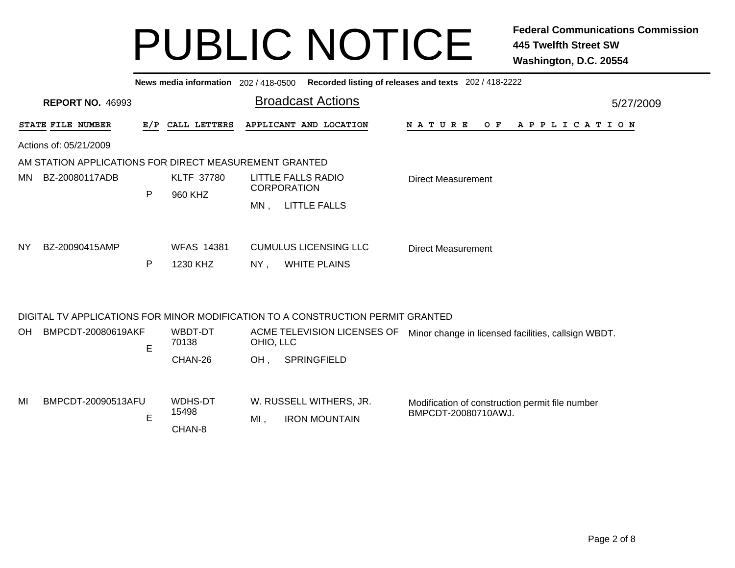|     | News media information 202 / 418-0500 Recorded listing of releases and texts 202 / 418-2222 |     |                   |                                |                                                                                 |                                                     |           |  |  |  |  |  |  |
|-----|---------------------------------------------------------------------------------------------|-----|-------------------|--------------------------------|---------------------------------------------------------------------------------|-----------------------------------------------------|-----------|--|--|--|--|--|--|
|     | <b>REPORT NO. 46993</b>                                                                     |     |                   |                                | <b>Broadcast Actions</b>                                                        |                                                     | 5/27/2009 |  |  |  |  |  |  |
|     | STATE FILE NUMBER                                                                           | E/P | CALL LETTERS      |                                | APPLICANT AND LOCATION                                                          | <b>NATURE</b><br>O F<br>A P P L I C A T I O N       |           |  |  |  |  |  |  |
|     | Actions of: 05/21/2009                                                                      |     |                   |                                |                                                                                 |                                                     |           |  |  |  |  |  |  |
|     | AM STATION APPLICATIONS FOR DIRECT MEASUREMENT GRANTED                                      |     |                   |                                |                                                                                 |                                                     |           |  |  |  |  |  |  |
| MN. | BZ-20080117ADB                                                                              |     | <b>KLTF 37780</b> |                                | LITTLE FALLS RADIO                                                              | <b>Direct Measurement</b>                           |           |  |  |  |  |  |  |
|     |                                                                                             | P   | 960 KHZ           |                                | <b>CORPORATION</b>                                                              |                                                     |           |  |  |  |  |  |  |
|     |                                                                                             |     |                   |                                | MN, LITTLE FALLS                                                                |                                                     |           |  |  |  |  |  |  |
|     |                                                                                             |     |                   |                                |                                                                                 |                                                     |           |  |  |  |  |  |  |
| NY. | BZ-20090415AMP                                                                              |     | <b>WFAS 14381</b> |                                | <b>CUMULUS LICENSING LLC</b>                                                    | <b>Direct Measurement</b>                           |           |  |  |  |  |  |  |
|     |                                                                                             | P   | 1230 KHZ          | NY.                            | <b>WHITE PLAINS</b>                                                             |                                                     |           |  |  |  |  |  |  |
|     |                                                                                             |     |                   |                                |                                                                                 |                                                     |           |  |  |  |  |  |  |
|     |                                                                                             |     |                   |                                |                                                                                 |                                                     |           |  |  |  |  |  |  |
|     |                                                                                             |     |                   |                                | DIGITAL TV APPLICATIONS FOR MINOR MODIFICATION TO A CONSTRUCTION PERMIT GRANTED |                                                     |           |  |  |  |  |  |  |
| OH. | BMPCDT-20080619AKF                                                                          |     | WBDT-DT           |                                | ACME TELEVISION LICENSES OF                                                     | Minor change in licensed facilities, callsign WBDT. |           |  |  |  |  |  |  |
|     |                                                                                             | E   | 70138             | OHIO, LLC                      |                                                                                 |                                                     |           |  |  |  |  |  |  |
|     |                                                                                             |     | CHAN-26           | OH,                            | SPRINGFIELD                                                                     |                                                     |           |  |  |  |  |  |  |
|     |                                                                                             |     |                   |                                |                                                                                 |                                                     |           |  |  |  |  |  |  |
| MI  | BMPCDT-20090513AFU                                                                          |     | WDHS-DT           |                                | W. RUSSELL WITHERS, JR.                                                         | Modification of construction permit file number     |           |  |  |  |  |  |  |
|     |                                                                                             |     | 15498             |                                |                                                                                 | BMPCDT-20080710AWJ.                                 |           |  |  |  |  |  |  |
|     |                                                                                             | E   | CHAN-8            | $MI$ ,<br><b>IRON MOUNTAIN</b> |                                                                                 |                                                     |           |  |  |  |  |  |  |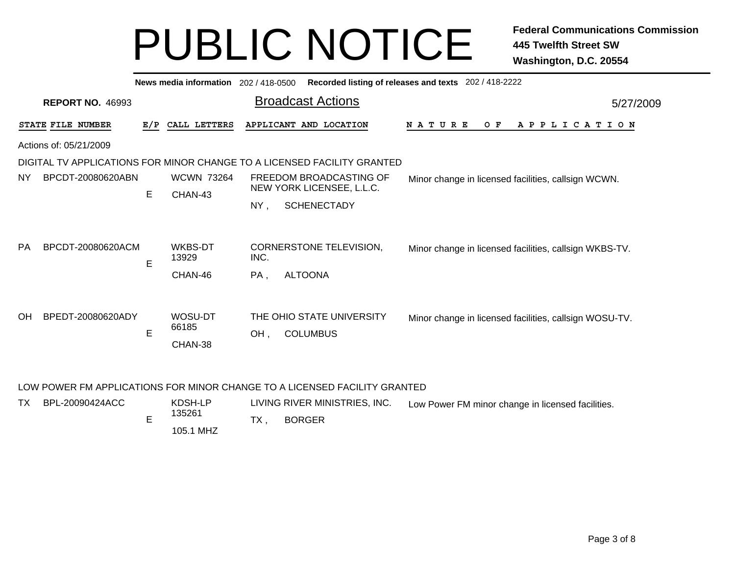| Recorded listing of releases and texts 202 / 418-2222<br>News media information 202/418-0500 |                         |     |                              |      |                                                                         |                                                        |  |  |  |  |  |  |
|----------------------------------------------------------------------------------------------|-------------------------|-----|------------------------------|------|-------------------------------------------------------------------------|--------------------------------------------------------|--|--|--|--|--|--|
|                                                                                              | <b>REPORT NO. 46993</b> |     |                              |      | <b>Broadcast Actions</b>                                                | 5/27/2009                                              |  |  |  |  |  |  |
|                                                                                              | STATE FILE NUMBER       | E/P | CALL LETTERS                 |      | APPLICANT AND LOCATION                                                  | <b>NATURE</b><br>O F<br>A P P L I C A T I O N          |  |  |  |  |  |  |
|                                                                                              | Actions of: 05/21/2009  |     |                              |      |                                                                         |                                                        |  |  |  |  |  |  |
|                                                                                              |                         |     |                              |      | DIGITAL TV APPLICATIONS FOR MINOR CHANGE TO A LICENSED FACILITY GRANTED |                                                        |  |  |  |  |  |  |
| NY.                                                                                          | BPCDT-20080620ABN       | E   | <b>WCWN 73264</b><br>CHAN-43 |      | FREEDOM BROADCASTING OF<br>NEW YORK LICENSEE, L.L.C.                    | Minor change in licensed facilities, callsign WCWN.    |  |  |  |  |  |  |
|                                                                                              |                         |     |                              | NY,  |                                                                         |                                                        |  |  |  |  |  |  |
| <b>PA</b>                                                                                    | BPCDT-20080620ACM       | E   | WKBS-DT<br>13929             | INC. | CORNERSTONE TELEVISION,                                                 | Minor change in licensed facilities, callsign WKBS-TV. |  |  |  |  |  |  |
|                                                                                              |                         |     | CHAN-46                      | PA,  | <b>ALTOONA</b>                                                          |                                                        |  |  |  |  |  |  |
| <b>OH</b>                                                                                    | BPEDT-20080620ADY       | E   | WOSU-DT<br>66185<br>CHAN-38  | OH,  | THE OHIO STATE UNIVERSITY<br><b>COLUMBUS</b>                            | Minor change in licensed facilities, callsign WOSU-TV. |  |  |  |  |  |  |

#### LOW POWER FM APPLICATIONS FOR MINOR CHANGE TO A LICENSED FACILITY GRANTED

| TX | BPL-20090424ACC | KDSH-LP   | LIVING RIVER MINISTRIES, INC. | Low Power FM minor change in licensed facilities. |
|----|-----------------|-----------|-------------------------------|---------------------------------------------------|
|    |                 | 135261    | <b>BORGER</b>                 |                                                   |
|    |                 | 105.1 MHZ |                               |                                                   |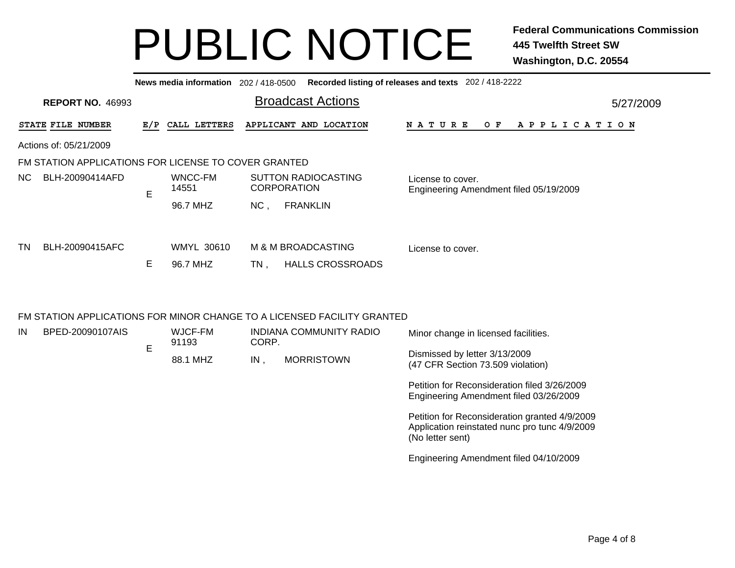| Recorded listing of releases and texts 202 / 418-2222<br>News media information 202 / 418-0500 |                                                                         |     |                   |     |                                                  |                                                             |  |  |  |  |  |     |  |  |  |  |                       |  |  |  |           |
|------------------------------------------------------------------------------------------------|-------------------------------------------------------------------------|-----|-------------------|-----|--------------------------------------------------|-------------------------------------------------------------|--|--|--|--|--|-----|--|--|--|--|-----------------------|--|--|--|-----------|
|                                                                                                | <b>REPORT NO. 46993</b>                                                 |     |                   |     | <b>Broadcast Actions</b>                         |                                                             |  |  |  |  |  |     |  |  |  |  |                       |  |  |  | 5/27/2009 |
|                                                                                                | STATE FILE NUMBER                                                       | E/P | CALL LETTERS      |     | APPLICANT AND LOCATION                           | <b>NATURE</b>                                               |  |  |  |  |  | O F |  |  |  |  | A P P L I C A T I O N |  |  |  |           |
|                                                                                                | Actions of: 05/21/2009                                                  |     |                   |     |                                                  |                                                             |  |  |  |  |  |     |  |  |  |  |                       |  |  |  |           |
|                                                                                                | FM STATION APPLICATIONS FOR LICENSE TO COVER GRANTED                    |     |                   |     |                                                  |                                                             |  |  |  |  |  |     |  |  |  |  |                       |  |  |  |           |
| NC.                                                                                            | BLH-20090414AFD                                                         | E   | WNCC-FM<br>14551  |     | <b>SUTTON RADIOCASTING</b><br><b>CORPORATION</b> | License to cover.<br>Engineering Amendment filed 05/19/2009 |  |  |  |  |  |     |  |  |  |  |                       |  |  |  |           |
|                                                                                                |                                                                         |     | 96.7 MHZ          | NC, | <b>FRANKLIN</b>                                  |                                                             |  |  |  |  |  |     |  |  |  |  |                       |  |  |  |           |
| TN.                                                                                            | BLH-20090415AFC                                                         |     | <b>WMYL 30610</b> |     | M & M BROADCASTING                               | License to cover.                                           |  |  |  |  |  |     |  |  |  |  |                       |  |  |  |           |
|                                                                                                |                                                                         | Е   | 96.7 MHZ          | TN. | <b>HALLS CROSSROADS</b>                          |                                                             |  |  |  |  |  |     |  |  |  |  |                       |  |  |  |           |
|                                                                                                |                                                                         |     |                   |     |                                                  |                                                             |  |  |  |  |  |     |  |  |  |  |                       |  |  |  |           |
|                                                                                                | FM STATION APPLICATIONS FOR MINOR CHANGE TO A LICENSED FACILITY GRANTED |     |                   |     |                                                  |                                                             |  |  |  |  |  |     |  |  |  |  |                       |  |  |  |           |

| IN | BPED-20090107AIS | WJCF-FM<br>91193 | CORP.  | INDIANA COMMUNITY RADIO | Minor change in licensed facilities.                                                                               |
|----|------------------|------------------|--------|-------------------------|--------------------------------------------------------------------------------------------------------------------|
|    |                  | 88.1 MHZ         | $IN$ . | <b>MORRISTOWN</b>       | Dismissed by letter 3/13/2009<br>(47 CFR Section 73.509 violation)                                                 |
|    |                  |                  |        |                         | Petition for Reconsideration filed 3/26/2009<br>Engineering Amendment filed 03/26/2009                             |
|    |                  |                  |        |                         | Petition for Reconsideration granted 4/9/2009<br>Application reinstated nunc pro tunc 4/9/2009<br>(No letter sent) |
|    |                  |                  |        |                         | Engineering Amendment filed 04/10/2009                                                                             |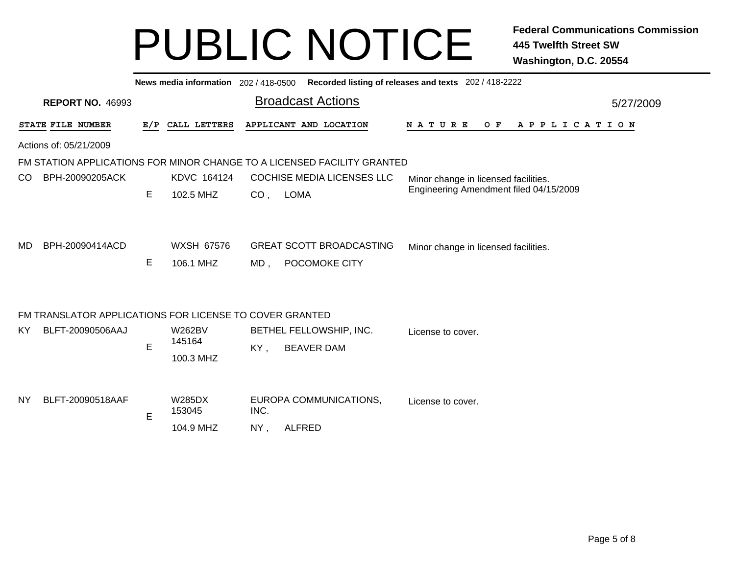| News media information 202 / 418-0500 Recorded listing of releases and texts 202 / 418-2222 |     |                                      |                 |                                                  |                                             |  |  |  |  |  |  |  |
|---------------------------------------------------------------------------------------------|-----|--------------------------------------|-----------------|--------------------------------------------------|---------------------------------------------|--|--|--|--|--|--|--|
| <b>REPORT NO. 46993</b>                                                                     |     |                                      |                 | <b>Broadcast Actions</b>                         | 5/27/2009                                   |  |  |  |  |  |  |  |
| STATE FILE NUMBER                                                                           | E/P | CALL LETTERS                         |                 | APPLICANT AND LOCATION                           | N A T U R E<br>O F<br>A P P L I C A T I O N |  |  |  |  |  |  |  |
| Actions of: 05/21/2009                                                                      |     |                                      |                 |                                                  |                                             |  |  |  |  |  |  |  |
| FM STATION APPLICATIONS FOR MINOR CHANGE TO A LICENSED FACILITY GRANTED                     |     |                                      |                 |                                                  |                                             |  |  |  |  |  |  |  |
| BPH-20090205ACK<br>CO.                                                                      |     | KDVC 164124                          |                 | <b>COCHISE MEDIA LICENSES LLC</b>                | Minor change in licensed facilities.        |  |  |  |  |  |  |  |
|                                                                                             | Е   | 102.5 MHZ                            | CO <sub>1</sub> | <b>LOMA</b>                                      | Engineering Amendment filed 04/15/2009      |  |  |  |  |  |  |  |
| BPH-20090414ACD<br>MD                                                                       | Е   | <b>WXSH 67576</b><br>106.1 MHZ       | $MD$ ,          | <b>GREAT SCOTT BROADCASTING</b><br>POCOMOKE CITY | Minor change in licensed facilities.        |  |  |  |  |  |  |  |
| FM TRANSLATOR APPLICATIONS FOR LICENSE TO COVER GRANTED                                     |     |                                      |                 |                                                  |                                             |  |  |  |  |  |  |  |
| BLFT-20090506AAJ<br>KY.                                                                     | E   | <b>W262BV</b><br>145164<br>100.3 MHZ | KY,             | BETHEL FELLOWSHIP, INC.<br><b>BEAVER DAM</b>     | License to cover.                           |  |  |  |  |  |  |  |
| BLFT-20090518AAF<br>NY                                                                      | E   | <b>W285DX</b><br>153045<br>104.9 MHZ | INC.<br>NY,     | EUROPA COMMUNICATIONS,<br><b>ALFRED</b>          | License to cover.                           |  |  |  |  |  |  |  |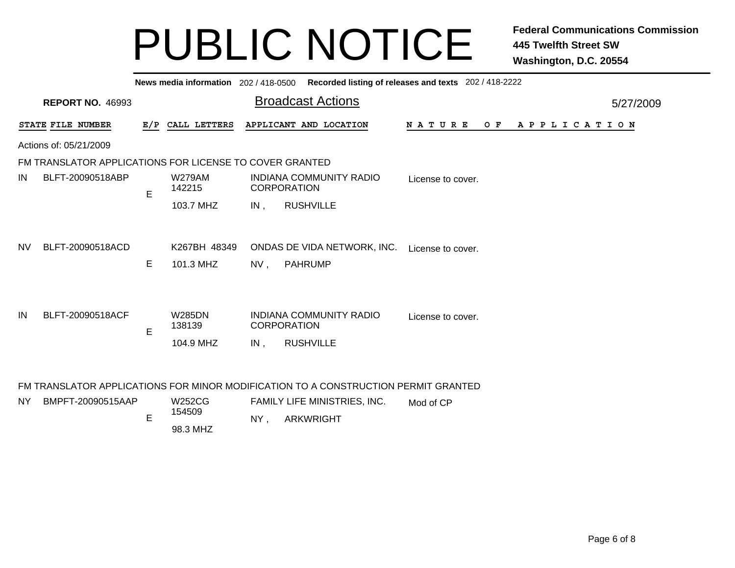|                        | Recorded listing of releases and texts 202 / 418-2222<br>News media information 202/418-0500 |     |                                      |        |                                                                                                                                        |                   |     |                       |  |  |  |  |  |
|------------------------|----------------------------------------------------------------------------------------------|-----|--------------------------------------|--------|----------------------------------------------------------------------------------------------------------------------------------------|-------------------|-----|-----------------------|--|--|--|--|--|
|                        | <b>REPORT NO. 46993</b>                                                                      |     |                                      |        | <b>Broadcast Actions</b>                                                                                                               |                   |     | 5/27/2009             |  |  |  |  |  |
|                        | STATE FILE NUMBER                                                                            | E/P | CALL LETTERS                         |        | APPLICANT AND LOCATION                                                                                                                 | N A T U R E       | O F | A P P L I C A T I O N |  |  |  |  |  |
| Actions of: 05/21/2009 |                                                                                              |     |                                      |        |                                                                                                                                        |                   |     |                       |  |  |  |  |  |
|                        | FM TRANSLATOR APPLICATIONS FOR LICENSE TO COVER GRANTED                                      |     |                                      |        |                                                                                                                                        |                   |     |                       |  |  |  |  |  |
| IN                     | BLFT-20090518ABP                                                                             | E   | <b>W279AM</b><br>142215              |        | <b>INDIANA COMMUNITY RADIO</b><br><b>CORPORATION</b>                                                                                   | License to cover. |     |                       |  |  |  |  |  |
|                        |                                                                                              |     | 103.7 MHZ                            | $IN$ , | <b>RUSHVILLE</b>                                                                                                                       |                   |     |                       |  |  |  |  |  |
| <b>NV</b>              | BLFT-20090518ACD                                                                             | Е   | K267BH 48349<br>101.3 MHZ            | $NV$ , | ONDAS DE VIDA NETWORK, INC.<br><b>PAHRUMP</b>                                                                                          | License to cover. |     |                       |  |  |  |  |  |
| IN                     | BLFT-20090518ACF                                                                             | E   | <b>W285DN</b><br>138139<br>104.9 MHZ | $IN$ . | <b>INDIANA COMMUNITY RADIO</b><br><b>CORPORATION</b><br><b>RUSHVILLE</b>                                                               | License to cover. |     |                       |  |  |  |  |  |
| NY.                    | BMPFT-20090515AAP                                                                            | E   | <b>W252CG</b><br>154509              | NY,    | FM TRANSLATOR APPLICATIONS FOR MINOR MODIFICATION TO A CONSTRUCTION PERMIT GRANTED<br>FAMILY LIFE MINISTRIES, INC.<br><b>ARKWRIGHT</b> | Mod of CP         |     |                       |  |  |  |  |  |

98.3 MHZ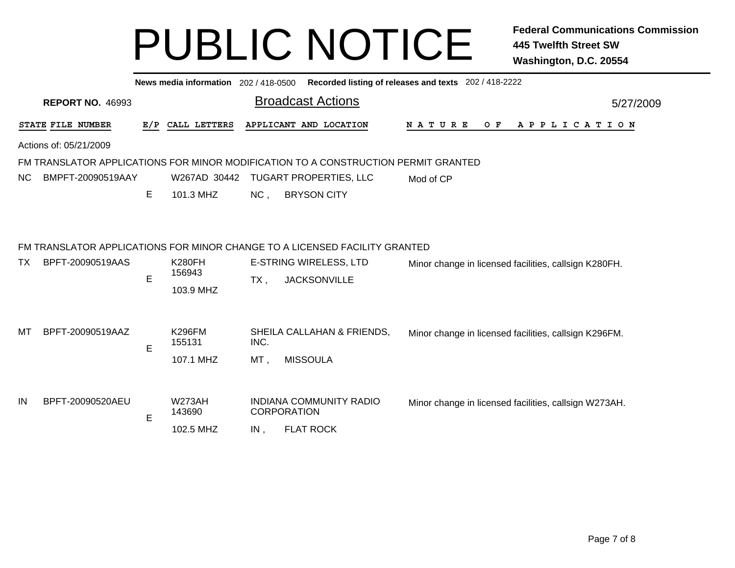|     | Recorded listing of releases and texts 202 / 418-2222<br>News media information 202 / 418-0500 |     |                                      |             |                                                                                                                                    |                                                       |  |  |  |  |  |  |  |  |
|-----|------------------------------------------------------------------------------------------------|-----|--------------------------------------|-------------|------------------------------------------------------------------------------------------------------------------------------------|-------------------------------------------------------|--|--|--|--|--|--|--|--|
|     | <b>REPORT NO. 46993</b>                                                                        |     | 5/27/2009                            |             |                                                                                                                                    |                                                       |  |  |  |  |  |  |  |  |
|     | STATE FILE NUMBER                                                                              | E/P | CALL LETTERS                         |             | APPLICANT AND LOCATION                                                                                                             | O F<br>A P P L I C A T I O N<br>N A T U R E           |  |  |  |  |  |  |  |  |
|     | Actions of: 05/21/2009                                                                         |     |                                      |             |                                                                                                                                    |                                                       |  |  |  |  |  |  |  |  |
|     |                                                                                                |     |                                      |             | FM TRANSLATOR APPLICATIONS FOR MINOR MODIFICATION TO A CONSTRUCTION PERMIT GRANTED                                                 |                                                       |  |  |  |  |  |  |  |  |
| NC. | BMPFT-20090519AAY                                                                              |     | W267AD 30442                         |             | <b>TUGART PROPERTIES, LLC</b>                                                                                                      | Mod of CP                                             |  |  |  |  |  |  |  |  |
|     |                                                                                                | Е   | 101.3 MHZ                            | NC,         | <b>BRYSON CITY</b>                                                                                                                 |                                                       |  |  |  |  |  |  |  |  |
| ТX  | BPFT-20090519AAS                                                                               | E   | <b>K280FH</b><br>156943<br>103.9 MHZ | $TX$ ,      | FM TRANSLATOR APPLICATIONS FOR MINOR CHANGE TO A LICENSED FACILITY GRANTED<br><b>E-STRING WIRELESS, LTD</b><br><b>JACKSONVILLE</b> | Minor change in licensed facilities, callsign K280FH. |  |  |  |  |  |  |  |  |
| MТ  | BPFT-20090519AAZ                                                                               | E   | <b>K296FM</b><br>155131<br>107.1 MHZ | INC.<br>MT, | SHEILA CALLAHAN & FRIENDS,<br><b>MISSOULA</b>                                                                                      | Minor change in licensed facilities, callsign K296FM. |  |  |  |  |  |  |  |  |
| IN  | BPFT-20090520AEU                                                                               | E   | <b>W273AH</b><br>143690<br>102.5 MHZ | IN,         | <b>INDIANA COMMUNITY RADIO</b><br><b>CORPORATION</b><br><b>FLAT ROCK</b>                                                           | Minor change in licensed facilities, callsign W273AH. |  |  |  |  |  |  |  |  |